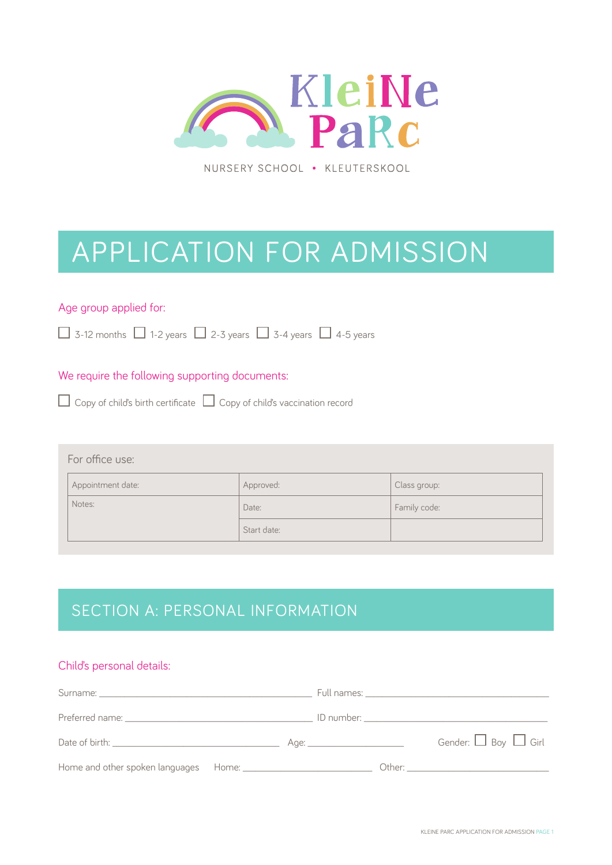

NURSERY SCHOOL . KLEUTERSKOOL

# APPLICATION FOR ADMISSION

#### Age group applied for:

 $\Box$  3-12 months  $\Box$  1-2 years  $\Box$  2-3 years  $\Box$  3-4 years  $\Box$  4-5 years

#### We require the following supporting documents:

|  | $\Box$ Copy of child's birth certificate $\Box$ Copy of child's vaccination record |
|--|------------------------------------------------------------------------------------|
|  |                                                                                    |

#### For office use:

| Appointment date: | Approved:   | Class group: |
|-------------------|-------------|--------------|
| Notes:            | Date:       | Family code: |
|                   | Start date: |              |

## SECTION A: PERSONAL INFORMATION

#### Child's personal details:

|  | Gender: $\Box$ Boy $\Box$ Girl |
|--|--------------------------------|
|  |                                |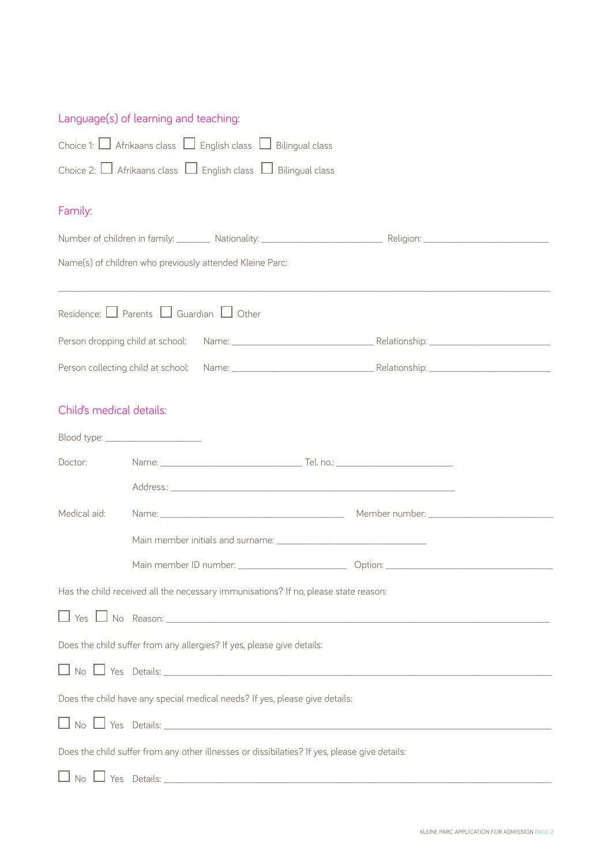## Language(s) of learning and teaching:

| Choice 1: □ Afrikaans class □ English class □ Bilingual class                                 |                                                                                       |  |  |  |
|-----------------------------------------------------------------------------------------------|---------------------------------------------------------------------------------------|--|--|--|
| Choice 2: $\Box$ Afrikaans class $\Box$ English class $\Box$ Bilingual class                  |                                                                                       |  |  |  |
| Family:                                                                                       |                                                                                       |  |  |  |
|                                                                                               | Number of children in family: Nationality: Nationality: Number of children in family: |  |  |  |
|                                                                                               | Name(s) of children who previously attended Kleine Parc:                              |  |  |  |
|                                                                                               | Residence: $\Box$ Parents $\Box$ Guardian $\Box$ Other                                |  |  |  |
|                                                                                               |                                                                                       |  |  |  |
|                                                                                               |                                                                                       |  |  |  |
| Child's medical details:                                                                      |                                                                                       |  |  |  |
|                                                                                               |                                                                                       |  |  |  |
| Doctor:                                                                                       |                                                                                       |  |  |  |
|                                                                                               |                                                                                       |  |  |  |
| Medical aid:                                                                                  |                                                                                       |  |  |  |
|                                                                                               |                                                                                       |  |  |  |
|                                                                                               |                                                                                       |  |  |  |
| Has the child received all the necessary immunisations? If no, please state reason:           |                                                                                       |  |  |  |
|                                                                                               |                                                                                       |  |  |  |
| Does the child suffer from any allergies? If yes, please give details:                        |                                                                                       |  |  |  |
|                                                                                               |                                                                                       |  |  |  |
|                                                                                               | Does the child have any special medical needs? If yes, please give details:           |  |  |  |
| $\Box$ No $\Box$ Yes Details: $\Box$                                                          |                                                                                       |  |  |  |
| Does the child suffer from any other illnesses or dissibilaties? If yes, please give details: |                                                                                       |  |  |  |
|                                                                                               |                                                                                       |  |  |  |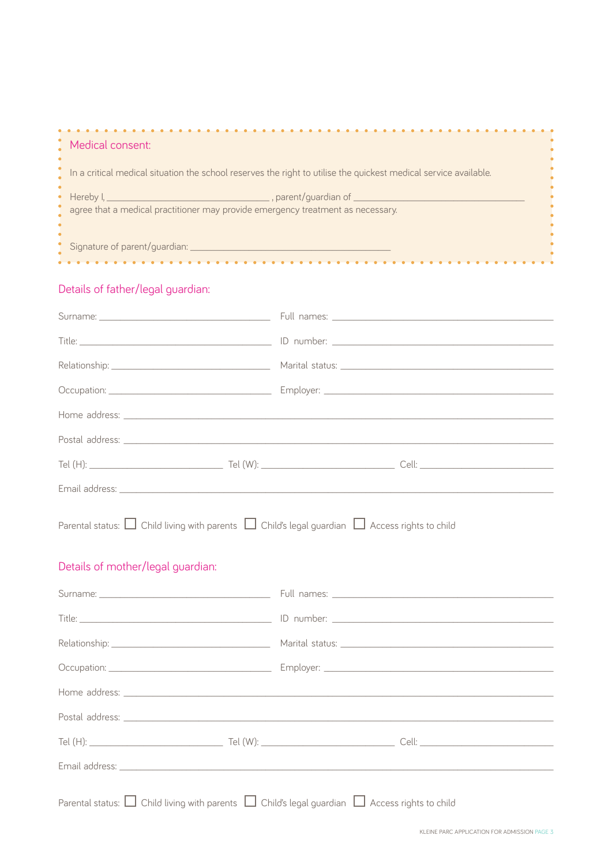| Medical consent:                                                                                                 |  |
|------------------------------------------------------------------------------------------------------------------|--|
|                                                                                                                  |  |
| In a critical medical situation the school reserves the right to utilise the quickest medical service available. |  |
|                                                                                                                  |  |
|                                                                                                                  |  |
|                                                                                                                  |  |
| agree that a medical practitioner may provide emergency treatment as necessary.                                  |  |
|                                                                                                                  |  |
|                                                                                                                  |  |
|                                                                                                                  |  |
| Signature of parent/guardian: ____________                                                                       |  |
|                                                                                                                  |  |
|                                                                                                                  |  |
|                                                                                                                  |  |

## Details of father/legal guardian:

| Parental status: $\Box$ Child living with parents $\Box$ Child's legal guardian $\Box$ Access rights to child<br>Details of mother/legal guardian: |  |
|----------------------------------------------------------------------------------------------------------------------------------------------------|--|
|                                                                                                                                                    |  |
|                                                                                                                                                    |  |
|                                                                                                                                                    |  |
|                                                                                                                                                    |  |
|                                                                                                                                                    |  |
|                                                                                                                                                    |  |
|                                                                                                                                                    |  |
|                                                                                                                                                    |  |
| Parental status: $\Box$ Child living with parents $\Box$ Child's legal guardian $\Box$ Access rights to child                                      |  |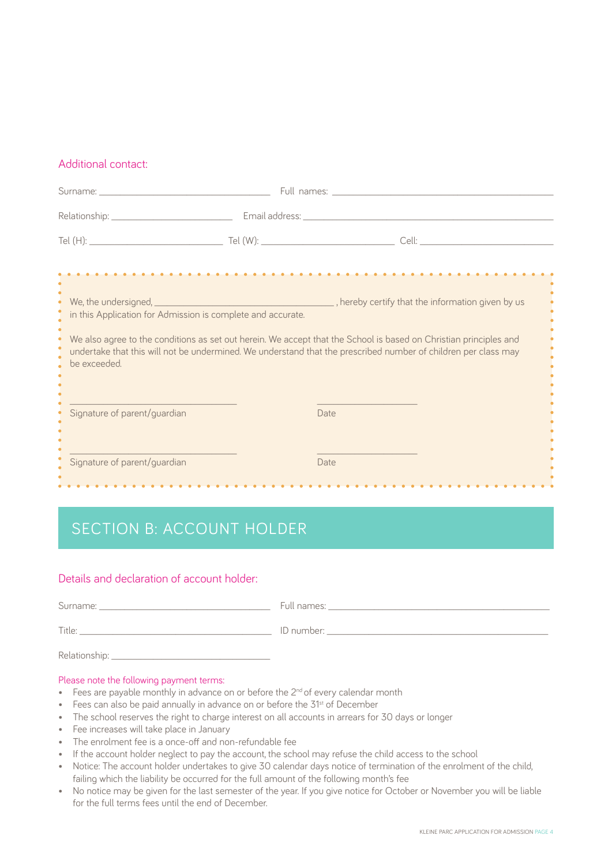#### Additional contact:

| <u>.</u>                                                                                                                                                                                                                                                                                                           |  |      |        |
|--------------------------------------------------------------------------------------------------------------------------------------------------------------------------------------------------------------------------------------------------------------------------------------------------------------------|--|------|--------|
| in this Application for Admission is complete and accurate.<br>We also agree to the conditions as set out herein. We accept that the School is based on Christian principles and<br>undertake that this will not be undermined. We understand that the prescribed number of children per class may<br>be exceeded. |  |      | ٠<br>٠ |
| Signature of parent/guardian                                                                                                                                                                                                                                                                                       |  | Date |        |
| Signature of parent/guardian                                                                                                                                                                                                                                                                                       |  | Date |        |

# SECTION B: ACCOUNT HOLDER

#### Details and declaration of account holder:

| Surname: _      | Full names:  |
|-----------------|--------------|
| Title:          | ID number: _ |
| Relationship: _ |              |

#### Please note the following payment terms:

- Fees are payable monthly in advance on or before the  $2^{nd}$  of every calendar month
- Fees can also be paid annually in advance on or before the 31<sup>st</sup> of December
- The school reserves the right to charge interest on all accounts in arrears for 30 days or longer
- Fee increases will take place in January
- The enrolment fee is a once-off and non-refundable fee
- If the account holder neglect to pay the account, the school may refuse the child access to the school
- Notice: The account holder undertakes to give 30 calendar days notice of termination of the enrolment of the child, failing which the liability be occurred for the full amount of the following month's fee
- No notice may be given for the last semester of the year. If you give notice for October or November you will be liable for the full terms fees until the end of December.